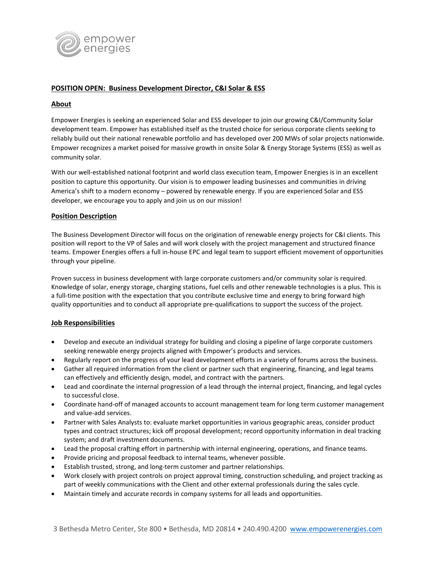

# **POSITION OPEN: Business Development Director, C&I Solar & ESS**

# **About**

Empower Energies is seeking an experienced Solar and ESS developer to join our growing C&I/Community Solar development team. Empower has established itself as the trusted choice for serious corporate clients seeking to reliably build out their national renewable portfolio and has developed over 200 MWs of solar projects nationwide. Empower recognizes a market poised for massive growth in onsite Solar & Energy Storage Systems (ESS) as well as community solar.

With our well-established national footprint and world class execution team, Empower Energies is in an excellent position to capture this opportunity. Our vision is to empower leading businesses and communities in driving America's shift to a modern economy – powered by renewable energy. If you are experienced Solar and ESS developer, we encourage you to apply and join us on our mission!

### **Position Description**

The Business Development Director will focus on the origination of renewable energy projects for C&I clients. This position will report to the VP of Sales and will work closely with the project management and structured finance teams. Empower Energies offers a full in-house EPC and legal team to support efficient movement of opportunities through your pipeline.

Proven success in business development with large corporate customers and/or community solar is required. Knowledge of solar, energy storage, charging stations, fuel cells and other renewable technologies is a plus. This is a full-time position with the expectation that you contribute exclusive time and energy to bring forward high quality opportunities and to conduct all appropriate pre-qualifications to support the success of the project.

### **Job Responsibilities**

- Develop and execute an individual strategy for building and closing a pipeline of large corporate customers seeking renewable energy projects aligned with Empower's products and services.
- Regularly report on the progress of your lead development efforts in a variety of forums across the business.
- Gather all required information from the client or partner such that engineering, financing, and legal teams can effectively and efficiently design, model, and contract with the partners.
- Lead and coordinate the internal progression of a lead through the internal project, financing, and legal cycles to successful close.
- Coordinate hand-off of managed accounts to account management team for long term customer management and value-add services.
- Partner with Sales Analysts to: evaluate market opportunities in various geographic areas, consider product types and contract structures; kick off proposal development; record opportunity information in deal tracking system; and draft investment documents.
- Lead the proposal crafting effort in partnership with internal engineering, operations, and finance teams.
- Provide pricing and proposal feedback to internal teams, whenever possible.
- Establish trusted, strong, and long-term customer and partner relationships.
- Work closely with project controls on project approval timing, construction scheduling, and project tracking as part of weekly communications with the Client and other external professionals during the sales cycle.
- Maintain timely and accurate records in company systems for all leads and opportunities.